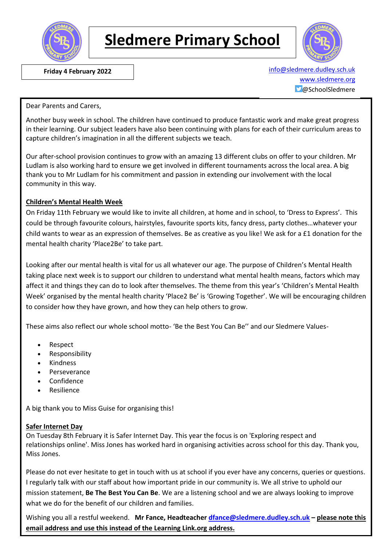

# **Sledmere Primary School**



 **Friday 4 February 2022** [info@sledmere.dudley.sch.uk](mailto:info@sledmere.dudley.sch.uk) [www.sledmere.org](http://www.sledmere.org/) @SchoolSledmere

Dear Parents and Carers,

Another busy week in school. The children have continued to produce fantastic work and make great progress in their learning. Our subject leaders have also been continuing with plans for each of their curriculum areas to capture children's imagination in all the different subjects we teach.

Our after-school provision continues to grow with an amazing 13 different clubs on offer to your children. Mr Ludlam is also working hard to ensure we get involved in different tournaments across the local area. A big thank you to Mr Ludlam for his commitment and passion in extending our involvement with the local community in this way.

#### **Children's Mental Health Week**

On Friday 11th February we would like to invite all children, at home and in school, to 'Dress to Express'. This could be through favourite colours, hairstyles, favourite sports kits, fancy dress, party clothes…whatever your child wants to wear as an expression of themselves. Be as creative as you like! We ask for a £1 donation for the mental health charity 'Place2Be' to take part.

Looking after our mental health is vital for us all whatever our age. The purpose of Children's Mental Health taking place next week is to support our children to understand what mental health means, factors which may affect it and things they can do to look after themselves. The theme from this year's 'Children's Mental Health Week' organised by the mental health charity 'Place2 Be' is 'Growing Together'. We will be encouraging children to consider how they have grown, and how they can help others to grow.

These aims also reflect our whole school motto- 'Be the Best You Can Be'' and our Sledmere Values-

- Respect
- Responsibility
- Kindness
- Perseverance
- Confidence
- Resilience

A big thank you to Miss Guise for organising this!

#### **Safer Internet Day**

On Tuesday 8th February it is Safer Internet Day. This year the focus is on 'Exploring respect and relationships online'. Miss Jones has worked hard in organising activities across school for this day. Thank you, Miss Jones.

Please do not ever hesitate to get in touch with us at school if you ever have any concerns, queries or questions. I regularly talk with our staff about how important pride in our community is. We all strive to uphold our mission statement, **Be The Best You Can Be**. We are a listening school and we are always looking to improve what we do for the benefit of our children and families.

Wishing you all a restful weekend. **Mr Fance, Headteacher [dfance@sledmere.dudley.sch.uk](mailto:dfance@sledmere.dudley.sch.uk) – please note this email address and use this instead of the Learning Link.org address.**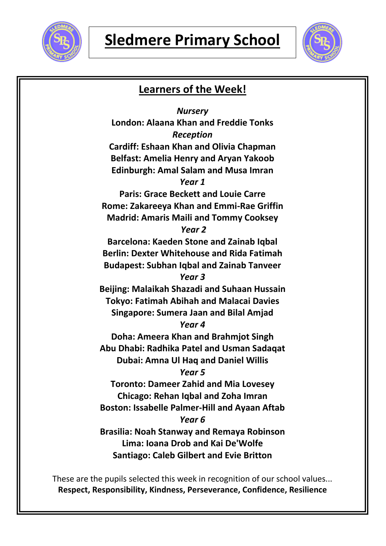



## **Learners of the Week!** *Nursery* **London: Alaana Khan and Freddie Tonks** *Reception* **Cardiff: Eshaan Khan and Olivia Chapman Belfast: Amelia Henry and Aryan Yakoob Edinburgh: Amal Salam and Musa Imran** *Year 1* **Paris: Grace Beckett and Louie Carre Rome: Zakareeya Khan and Emmi-Rae Griffin Madrid: Amaris Maili and Tommy Cooksey** *Year 2* **Barcelona: Kaeden Stone and Zainab Iqbal Berlin: Dexter Whitehouse and Rida Fatimah Budapest: Subhan Iqbal and Zainab Tanveer** *Year 3* **Beijing: Malaikah Shazadi and Suhaan Hussain Tokyo: Fatimah Abihah and Malacai Davies Singapore: Sumera Jaan and Bilal Amjad** *Year 4* **Doha: Ameera Khan and Brahmjot Singh Abu Dhabi: Radhika Patel and Usman Sadaqat Dubai: Amna Ul Haq and Daniel Willis** *Year 5* **Toronto: Dameer Zahid and Mia Lovesey Chicago: Rehan Iqbal and Zoha Imran Boston: Issabelle Palmer-Hill and Ayaan Aftab** *Year 6* **Brasilia: Noah Stanway and Remaya Robinson Lima: Ioana Drob and Kai De'Wolfe Santiago: Caleb Gilbert and Evie Britton**

These are the pupils selected this week in recognition of our school values... **Respect, Responsibility, Kindness, Perseverance, Confidence, Resilience**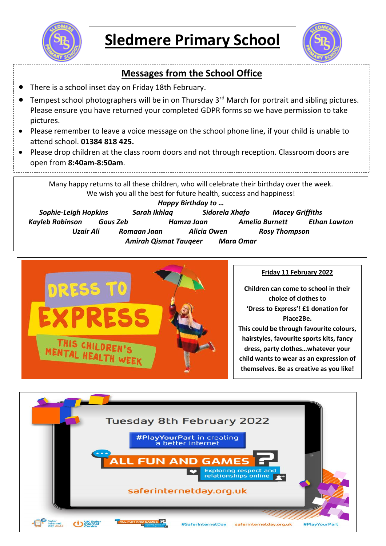



## **Messages from the School Office**

There is a school inset day on Friday 18th February.

Please return any chromebooks you may have at home.

- Tempest school photographers will be in on Thursday 3<sup>rd</sup> March for portrait and sibling pictures. Please ensure you have returned your completed GDPR forms so we have permission to take pictures.
- Please remember to leave a voice message on the school phone line, if your child is unable to attend school. **01384 818 425.**
- Please drop children at the class room doors and not through reception. Classroom doors are open from **8:40am-8:50am**.

Many happy returns to all these children, who will celebrate their birthday over the week. We wish you all the best for future health, success and happiness!

*Happy Birthday to … Sophie-Leigh Hopkins Sarah Ikhlaq Sidorela Xhafo Macey Griffiths Kayleb Robinson Gous Zeb Hamza Jaan Amelia Burnett Ethan Lawton Uzair Ali Romaan Jaan Alicia Owen Rosy Thompson Amirah Qismat Tauqeer Mara Omar*



### **Friday 11 February 2022**

**Children can come to school in their choice of clothes to 'Dress to Express'! £1 donation for Place2Be. This could be through favourite colours, hairstyles, favourite sports kits, fancy dress, party clothes…whatever your child wants to wear as an expression of themselves. Be as creative as you like!**